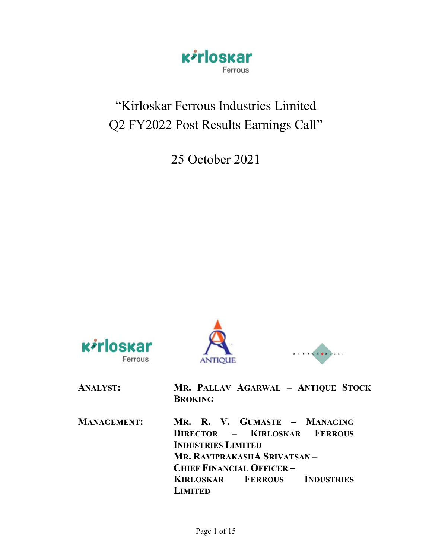

# "Kirloskar Ferrous Industries Limited Q2 FY2022 Post Results Earnings Call"

25 October 2021







| <b>ANALYST:</b>    | MR. PALLAV AGARWAL - ANTIQUE STOCK<br><b>BROKING</b>                                                                                                         |
|--------------------|--------------------------------------------------------------------------------------------------------------------------------------------------------------|
| <b>MANAGEMENT:</b> | MR. R. V. GUMASTE - MANAGING<br>DIRECTOR - KIRLOSKAR FERROUS<br><b>INDUSTRIES LIMITED</b><br>MR. RAVIPRAKASHA SRIVATSAN –<br><b>CHIEF FINANCIAL OFFICER-</b> |
|                    | <b>KIRLOSKAR FERROUS INDUSTRIES</b><br>LIMITED                                                                                                               |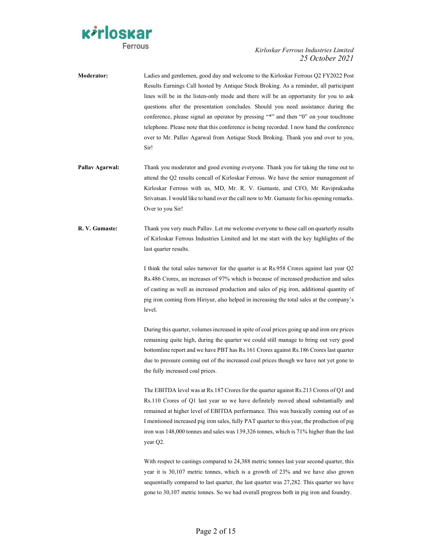

Moderator: Ladies and gentlemen, good day and welcome to the Kirloskar Ferrous Q2 FY2022 Post Results Earnings Call hosted by Antique Stock Broking. As a reminder, all participant lines will be in the listen-only mode and there will be an opportunity for you to ask questions after the presentation concludes. Should you need assistance during the conference, please signal an operator by pressing "\*" and then "0" on your touchtone telephone. Please note that this conference is being recorded. I now hand the conference over to Mr. Pallav Agarwal from Antique Stock Broking. Thank you and over to you, Sir!

- Pallav Agarwal: Thank you moderator and good evening everyone. Thank you for taking the time out to attend the Q2 results concall of Kirloskar Ferrous. We have the senior management of Kirloskar Ferrous with us, MD, Mr. R. V. Gumaste, and CFO, Mr Raviprakasha Srivatsan. I would like to hand over the call now to Mr. Gumaste for his opening remarks. Over to you Sir!
- R. V. Gumaste: Thank you very much Pallav. Let me welcome everyone to these call on quarterly results of Kirloskar Ferrous Industries Limited and let me start with the key highlights of the last quarter results.

I think the total sales turnover for the quarter is at Rs.958 Crores against last year Q2 Rs.486 Crores, an increases of 97% which is because of increased production and sales of casting as well as increased production and sales of pig iron, additional quantity of pig iron coming from Hiriyur, also helped in increasing the total sales at the company's level.

 During this quarter, volumes increased in spite of coal prices going up and iron ore prices remaining quite high, during the quarter we could still manage to bring out very good bottomline report and we have PBT has Rs.161 Crores against Rs.186 Crores last quarter due to pressure coming out of the increased coal prices though we have not yet gone to the fully increased coal prices.

 The EBITDA level was at Rs.187 Crores for the quarter against Rs.213 Crores of Q1 and Rs.110 Crores of Q1 last year so we have definitely moved ahead substantially and remained at higher level of EBITDA performance. This was basically coming out of as I mentioned increased pig iron sales, fully PAT quarter to this year, the production of pig iron was 148,000 tonnes and sales was 139,326 tonnes, which is 71% higher than the last year Q2.

 With respect to castings compared to 24,388 metric tonnes last year second quarter, this year it is 30,107 metric tonnes, which is a growth of 23% and we have also grown sequentially compared to last quarter, the last quarter was 27,282. This quarter we have gone to 30,107 metric tonnes. So we had overall progress both in pig iron and foundry.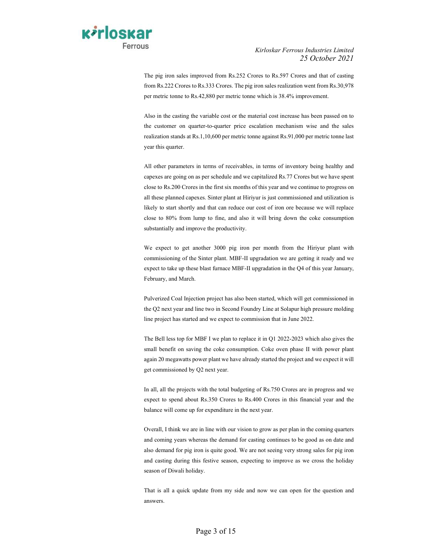

 The pig iron sales improved from Rs.252 Crores to Rs.597 Crores and that of casting from Rs.222 Crores to Rs.333 Crores. The pig iron sales realization went from Rs.30,978 per metric tonne to Rs.42,880 per metric tonne which is 38.4% improvement.

 Also in the casting the variable cost or the material cost increase has been passed on to the customer on quarter-to-quarter price escalation mechanism wise and the sales realization stands at Rs.1,10,600 per metric tonne against Rs.91,000 per metric tonne last year this quarter.

 All other parameters in terms of receivables, in terms of inventory being healthy and capexes are going on as per schedule and we capitalized Rs.77 Crores but we have spent close to Rs.200 Crores in the first six months of this year and we continue to progress on all these planned capexes. Sinter plant at Hiriyur is just commissioned and utilization is likely to start shortly and that can reduce our cost of iron ore because we will replace close to 80% from lump to fine, and also it will bring down the coke consumption substantially and improve the productivity.

 We expect to get another 3000 pig iron per month from the Hiriyur plant with commissioning of the Sinter plant. MBF-II upgradation we are getting it ready and we expect to take up these blast furnace MBF-II upgradation in the Q4 of this year January, February, and March.

 Pulverized Coal Injection project has also been started, which will get commissioned in the Q2 next year and line two in Second Foundry Line at Solapur high pressure molding line project has started and we expect to commission that in June 2022.

 The Bell less top for MBF I we plan to replace it in Q1 2022-2023 which also gives the small benefit on saving the coke consumption. Coke oven phase II with power plant again 20 megawatts power plant we have already started the project and we expect it will get commissioned by Q2 next year.

 In all, all the projects with the total budgeting of Rs.750 Crores are in progress and we expect to spend about Rs.350 Crores to Rs.400 Crores in this financial year and the balance will come up for expenditure in the next year.

 Overall, I think we are in line with our vision to grow as per plan in the coming quarters and coming years whereas the demand for casting continues to be good as on date and also demand for pig iron is quite good. We are not seeing very strong sales for pig iron and casting during this festive season, expecting to improve as we cross the holiday season of Diwali holiday.

 That is all a quick update from my side and now we can open for the question and answers.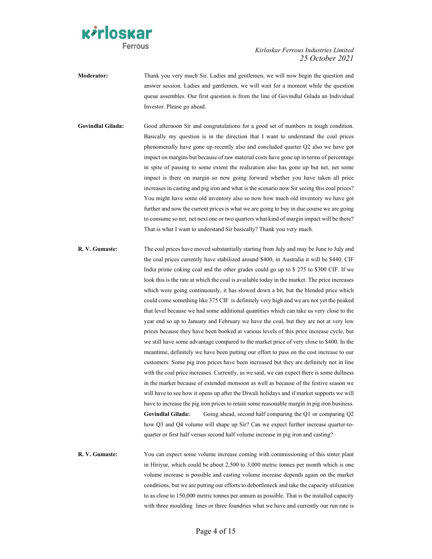

- Moderator: Thank you very much Sir. Ladies and gentlemen, we will now begin the question and answer session. Ladies and gentlemen, we will wait for a moment while the question queue assembles. Our first question is from the line of Govindlal Gilada an Individual Investor. Please go ahead.
- Govindlal Gilada: Good afternoon Sir and congratulations for a good set of numbers in tough condition. Basically my question is in the direction that I want to understand the coal prices phenomenally have gone up recently also and concluded quarter Q2 also we have got impact on margins but because of raw material costs have gone up in terms of percentage in spite of passing to some extent the realization also has gone up but net, net some impact is there on margin so now going forward whether you have taken all price increases in casting and pig iron and what is the scenario now Sir seeing this coal prices? You might have some old inventory also so now how much old inventory we have got further and now the current prices is what we are going to buy in due course we are going to consume so net, net next one or two quarters what kind of margin impact will be there? That is what I want to understand Sir basically? Thank you very much.
- R. V. Gumaste: The coal prices have moved substantially starting from July and may be June to July and the coal prices currently have stabilized around \$400, in Australia it will be \$440, CIF India prime coking coal and the other grades could go up to \$ 275 to \$300 CIF. If we look this is the rate at which the coal is available today in the market. The price increases which were going continuously, it has slowed down a bit, but the blended price which could come something like 375 CIF is definitely very high and we are not yet the peaked that level because we had some additional quantities which can take us very close to the year end so up to January and February we have the coal, but they are not at very low prices because they have been booked at various levels of this price increase cycle, but we still have some advantage compared to the market price of very close to \$400. In the meantime, definitely we have been putting our effort to pass on the cost increase to our customers. Some pig iron prices have been increased but they are definitely not in line with the coal price increases. Currently, as we said, we can expect there is some dullness in the market because of extended monsoon as well as because of the festive season we will have to see how it opens up after the Diwali holidays and if market supports we will have to increase the pig iron prices to retain some reasonable margin in pig iron business. Govindlal Gilada: Going ahead, second half comparing the Q1 or comparing Q2 how Q3 and Q4 volume will shape up Sir? Can we expect further increase quarter-toquarter or first half versus second half volume increase in pig iron and casting?
- R. V. Gumaste: You can expect some volume increase coming with commissioning of this sinter plant in Hiriyur, which could be about 2,500 to 3,000 metric tonnes per month which is one volume increase is possible and casting volume increase depends again on the market conditions, but we are putting our efforts to debottleneck and take the capacity utilization to as close to 150,000 metric tonnes per annum as possible. That is the installed capacity with three moulding lines or three foundries what we have and currently our run rate is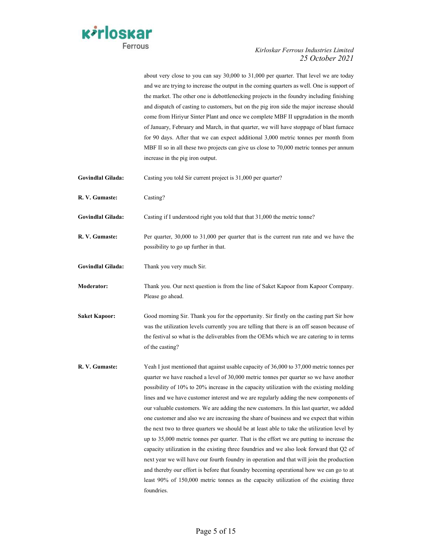

about very close to you can say 30,000 to 31,000 per quarter. That level we are today and we are trying to increase the output in the coming quarters as well. One is support of the market. The other one is debottlenecking projects in the foundry including finishing and dispatch of casting to customers, but on the pig iron side the major increase should come from Hiriyur Sinter Plant and once we complete MBF II upgradation in the month of January, February and March, in that quarter, we will have stoppage of blast furnace for 90 days. After that we can expect additional 3,000 metric tonnes per month from MBF II so in all these two projects can give us close to 70,000 metric tonnes per annum increase in the pig iron output.

- Govindlal Gilada: Casting you told Sir current project is 31,000 per quarter?
- R. V. Gumaste: Casting?
- Govindlal Gilada: Casting if I understood right you told that that 31,000 the metric tonne?
- R. V. Gumaste: Per quarter, 30,000 to 31,000 per quarter that is the current run rate and we have the possibility to go up further in that.
- Govindlal Gilada: Thank you very much Sir.

Moderator: Thank you. Our next question is from the line of Saket Kapoor from Kapoor Company. Please go ahead.

- Saket Kapoor: Good morning Sir. Thank you for the opportunity. Sir firstly on the casting part Sir how was the utilization levels currently you are telling that there is an off season because of the festival so what is the deliverables from the OEMs which we are catering to in terms of the casting?
- R. V. Gumaste: Yeah I just mentioned that against usable capacity of 36,000 to 37,000 metric tonnes per quarter we have reached a level of 30,000 metric tonnes per quarter so we have another possibility of 10% to 20% increase in the capacity utilization with the existing molding lines and we have customer interest and we are regularly adding the new components of our valuable customers. We are adding the new customers. In this last quarter, we added one customer and also we are increasing the share of business and we expect that within the next two to three quarters we should be at least able to take the utilization level by up to 35,000 metric tonnes per quarter. That is the effort we are putting to increase the capacity utilization in the existing three foundries and we also look forward that Q2 of next year we will have our fourth foundry in operation and that will join the production and thereby our effort is before that foundry becoming operational how we can go to at least 90% of 150,000 metric tonnes as the capacity utilization of the existing three foundries.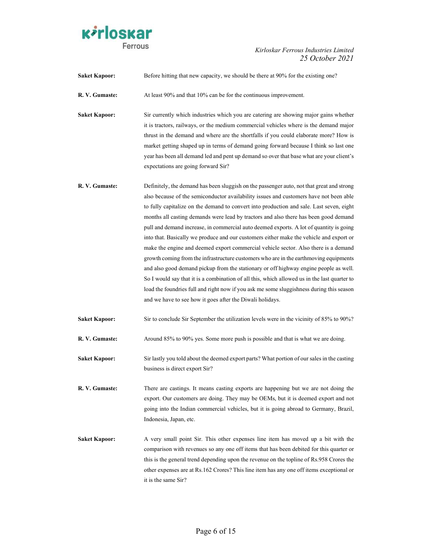

Saket Kapoor: Before hitting that new capacity, we should be there at 90% for the existing one?

R. V. Gumaste: At least 90% and that 10% can be for the continuous improvement.

Saket Kapoor: Sir currently which industries which you are catering are showing major gains whether it is tractors, railways, or the medium commercial vehicles where is the demand major thrust in the demand and where are the shortfalls if you could elaborate more? How is market getting shaped up in terms of demand going forward because I think so last one year has been all demand led and pent up demand so over that base what are your client's expectations are going forward Sir?

R. V. Gumaste: Definitely, the demand has been sluggish on the passenger auto, not that great and strong also because of the semiconductor availability issues and customers have not been able to fully capitalize on the demand to convert into production and sale. Last seven, eight months all casting demands were lead by tractors and also there has been good demand pull and demand increase, in commercial auto deemed exports. A lot of quantity is going into that. Basically we produce and our customers either make the vehicle and export or make the engine and deemed export commercial vehicle sector. Also there is a demand growth coming from the infrastructure customers who are in the earthmoving equipments and also good demand pickup from the stationary or off highway engine people as well. So I would say that it is a combination of all this, which allowed us in the last quarter to load the foundries full and right now if you ask me some sluggishness during this season and we have to see how it goes after the Diwali holidays.

Saket Kapoor: Sir to conclude Sir September the utilization levels were in the vicinity of 85% to 90%?

- R. V. Gumaste: Around 85% to 90% yes. Some more push is possible and that is what we are doing.
- Saket Kapoor: Sir lastly you told about the deemed export parts? What portion of our sales in the casting business is direct export Sir?
- R. V. Gumaste: There are castings. It means casting exports are happening but we are not doing the export. Our customers are doing. They may be OEMs, but it is deemed export and not going into the Indian commercial vehicles, but it is going abroad to Germany, Brazil, Indonesia, Japan, etc.
- Saket Kapoor: A very small point Sir. This other expenses line item has moved up a bit with the comparison with revenues so any one off items that has been debited for this quarter or this is the general trend depending upon the revenue on the topline of Rs.958 Crores the other expenses are at Rs.162 Crores? This line item has any one off items exceptional or it is the same Sir?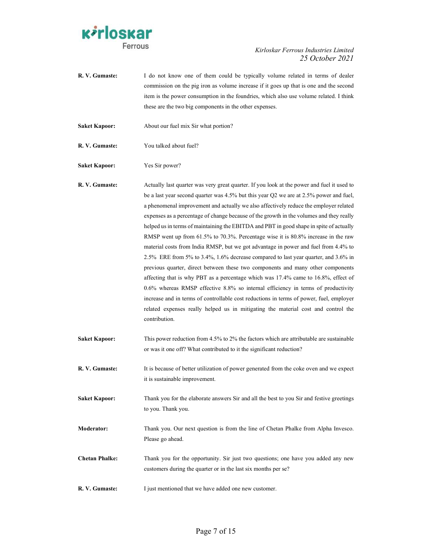

| R. V. Gumaste:        | I do not know one of them could be typically volume related in terms of dealer<br>commission on the pig iron as volume increase if it goes up that is one and the second<br>item is the power consumption in the foundries, which also use volume related. I think<br>these are the two big components in the other expenses.                                                                                                                                                                                                                                                                                                                                                                                                                                                                                                                                                                                                                                                                                                                                                                                                                                                                       |
|-----------------------|-----------------------------------------------------------------------------------------------------------------------------------------------------------------------------------------------------------------------------------------------------------------------------------------------------------------------------------------------------------------------------------------------------------------------------------------------------------------------------------------------------------------------------------------------------------------------------------------------------------------------------------------------------------------------------------------------------------------------------------------------------------------------------------------------------------------------------------------------------------------------------------------------------------------------------------------------------------------------------------------------------------------------------------------------------------------------------------------------------------------------------------------------------------------------------------------------------|
| <b>Saket Kapoor:</b>  | About our fuel mix Sir what portion?                                                                                                                                                                                                                                                                                                                                                                                                                                                                                                                                                                                                                                                                                                                                                                                                                                                                                                                                                                                                                                                                                                                                                                |
| R. V. Gumaste:        | You talked about fuel?                                                                                                                                                                                                                                                                                                                                                                                                                                                                                                                                                                                                                                                                                                                                                                                                                                                                                                                                                                                                                                                                                                                                                                              |
| <b>Saket Kapoor:</b>  | Yes Sir power?                                                                                                                                                                                                                                                                                                                                                                                                                                                                                                                                                                                                                                                                                                                                                                                                                                                                                                                                                                                                                                                                                                                                                                                      |
| R. V. Gumaste:        | Actually last quarter was very great quarter. If you look at the power and fuel it used to<br>be a last year second quarter was 4.5% but this year Q2 we are at 2.5% power and fuel,<br>a phenomenal improvement and actually we also affectively reduce the employer related<br>expenses as a percentage of change because of the growth in the volumes and they really<br>helped us in terms of maintaining the EBITDA and PBT in good shape in spite of actually<br>RMSP went up from 61.5% to 70.3%. Percentage wise it is 80.8% increase in the raw<br>material costs from India RMSP, but we got advantage in power and fuel from 4.4% to<br>2.5% ERE from 5% to 3.4%, 1.6% decrease compared to last year quarter, and 3.6% in<br>previous quarter, direct between these two components and many other components<br>affecting that is why PBT as a percentage which was 17.4% came to 16.8%, effect of<br>0.6% whereas RMSP effective 8.8% so internal efficiency in terms of productivity<br>increase and in terms of controllable cost reductions in terms of power, fuel, employer<br>related expenses really helped us in mitigating the material cost and control the<br>contribution. |
| <b>Saket Kapoor:</b>  | This power reduction from 4.5% to 2% the factors which are attributable are sustainable<br>or was it one off? What contributed to it the significant reduction?                                                                                                                                                                                                                                                                                                                                                                                                                                                                                                                                                                                                                                                                                                                                                                                                                                                                                                                                                                                                                                     |
| R.V. Gumaste:         | It is because of better utilization of power generated from the coke oven and we expect<br>it is sustainable improvement.                                                                                                                                                                                                                                                                                                                                                                                                                                                                                                                                                                                                                                                                                                                                                                                                                                                                                                                                                                                                                                                                           |
| <b>Saket Kapoor:</b>  | Thank you for the elaborate answers Sir and all the best to you Sir and festive greetings<br>to you. Thank you.                                                                                                                                                                                                                                                                                                                                                                                                                                                                                                                                                                                                                                                                                                                                                                                                                                                                                                                                                                                                                                                                                     |
| Moderator:            | Thank you. Our next question is from the line of Chetan Phalke from Alpha Invesco.<br>Please go ahead.                                                                                                                                                                                                                                                                                                                                                                                                                                                                                                                                                                                                                                                                                                                                                                                                                                                                                                                                                                                                                                                                                              |
| <b>Chetan Phalke:</b> | Thank you for the opportunity. Sir just two questions; one have you added any new<br>customers during the quarter or in the last six months per se?                                                                                                                                                                                                                                                                                                                                                                                                                                                                                                                                                                                                                                                                                                                                                                                                                                                                                                                                                                                                                                                 |
| R. V. Gumaste:        | I just mentioned that we have added one new customer.                                                                                                                                                                                                                                                                                                                                                                                                                                                                                                                                                                                                                                                                                                                                                                                                                                                                                                                                                                                                                                                                                                                                               |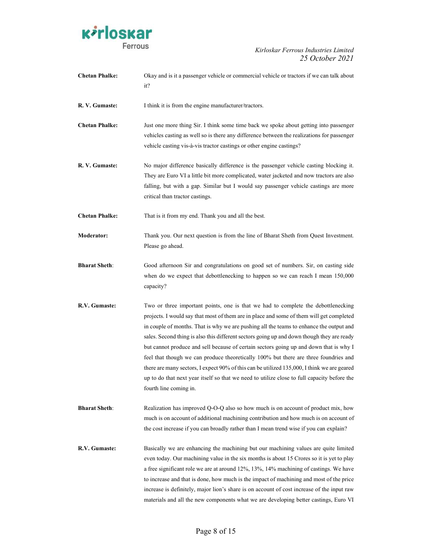

| <b>Chetan Phalke:</b> | Okay and is it a passenger vehicle or commercial vehicle or tractors if we can talk about<br>it?                                                                                                                                                                                                                                                                                                                                                                                                                                                                                                                                                                                                                                                                                 |
|-----------------------|----------------------------------------------------------------------------------------------------------------------------------------------------------------------------------------------------------------------------------------------------------------------------------------------------------------------------------------------------------------------------------------------------------------------------------------------------------------------------------------------------------------------------------------------------------------------------------------------------------------------------------------------------------------------------------------------------------------------------------------------------------------------------------|
| R. V. Gumaste:        | I think it is from the engine manufacturer/tractors.                                                                                                                                                                                                                                                                                                                                                                                                                                                                                                                                                                                                                                                                                                                             |
| <b>Chetan Phalke:</b> | Just one more thing Sir. I think some time back we spoke about getting into passenger<br>vehicles casting as well so is there any difference between the realizations for passenger<br>vehicle casting vis-à-vis tractor castings or other engine castings?                                                                                                                                                                                                                                                                                                                                                                                                                                                                                                                      |
| R. V. Gumaste:        | No major difference basically difference is the passenger vehicle casting blocking it.<br>They are Euro VI a little bit more complicated, water jacketed and now tractors are also<br>falling, but with a gap. Similar but I would say passenger vehicle castings are more<br>critical than tractor castings.                                                                                                                                                                                                                                                                                                                                                                                                                                                                    |
| <b>Chetan Phalke:</b> | That is it from my end. Thank you and all the best.                                                                                                                                                                                                                                                                                                                                                                                                                                                                                                                                                                                                                                                                                                                              |
| <b>Moderator:</b>     | Thank you. Our next question is from the line of Bharat Sheth from Quest Investment.<br>Please go ahead.                                                                                                                                                                                                                                                                                                                                                                                                                                                                                                                                                                                                                                                                         |
| <b>Bharat Sheth:</b>  | Good afternoon Sir and congratulations on good set of numbers. Sir, on casting side<br>when do we expect that debottlenecking to happen so we can reach I mean 150,000<br>capacity?                                                                                                                                                                                                                                                                                                                                                                                                                                                                                                                                                                                              |
| R.V. Gumaste:         | Two or three important points, one is that we had to complete the debottlenecking<br>projects. I would say that most of them are in place and some of them will get completed<br>in couple of months. That is why we are pushing all the teams to enhance the output and<br>sales. Second thing is also this different sectors going up and down though they are ready<br>but cannot produce and sell because of certain sectors going up and down that is why I<br>feel that though we can produce theoretically 100% but there are three foundries and<br>there are many sectors, I expect 90% of this can be utilized 135,000, I think we are geared<br>up to do that next year itself so that we need to utilize close to full capacity before the<br>fourth line coming in. |
| <b>Bharat Sheth:</b>  | Realization has improved Q-O-Q also so how much is on account of product mix, how<br>much is on account of additional machining contribution and how much is on account of<br>the cost increase if you can broadly rather than I mean trend wise if you can explain?                                                                                                                                                                                                                                                                                                                                                                                                                                                                                                             |
| R.V. Gumaste:         | Basically we are enhancing the machining but our machining values are quite limited<br>even today. Our machining value in the six months is about 15 Crores so it is yet to play<br>a free significant role we are at around 12%, 13%, 14% machining of castings. We have<br>to increase and that is done, how much is the impact of machining and most of the price<br>increase is definitely, major lion's share is on account of cost increase of the input raw<br>materials and all the new components what we are developing better castings, Euro VI                                                                                                                                                                                                                       |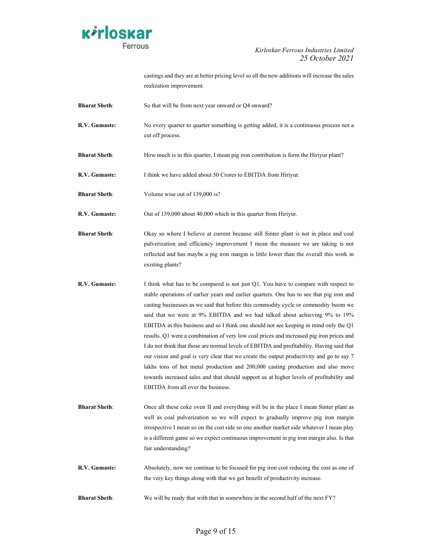

castings and they are at better pricing level so all the new additions will increase the sales realization improvement.

- Bharat Sheth: So that will be from next year onward or Q4 onward?
- **R.V. Gumaste:** No every quarter to quarter something is getting added, it is a continuous process not a cut off process.
- Bharat Sheth: How much is in this quarter, I mean pig iron contribution is form the Hiriyur plant?
- R.V. Gumaste: I think we have added about 50 Crores to EBITDA from Hiriyur.
- **Bharat Sheth:** Volume wise out of 139,000 is?

R.V. Gumaste: Out of 139,000 about 40,000 which in this quarter from Hiriyur.

- Bharat Sheth: Okay so where I believe at current because still Sinter plant is not in place and coal pulverization and efficiency improvement I mean the measure we are taking is not reflected and has maybe a pig iron margin is little lower than the overall this work in existing plants?
- R.V. Gumaste: I think what has to be compared is not just Q1. You have to compare with respect to stable operations of earlier years and earlier quarters. One has to see that pig iron and casting businesses as we said that before this commodity cycle or commodity boom we said that we were at 9% EBITDA and we had talked about achieving 9% to 19% EBITDA in this business and so I think one should not see keeping in mind only the Q1 results. Q1 were a combination of very low coal prices and increased pig iron prices and I do not think that those are normal levels of EBITDA and profitability. Having said that our vision and goal is very clear that we create the output productivity and go to say 7 lakhs tons of hot metal production and 200,000 casting production and also move towards increased sales and that should support us at higher levels of profitability and EBITDA from all over the business.
- Bharat Sheth: Once all these coke oven II and everything will be in the place I mean Sinter plant as well as coal pulverization so we will expect to gradually improve pig iron margin irrespective I mean so on the cost side so one another market side whatever I mean play is a different game so we expect continuous improvement in pig iron margin also. Is that fair understanding?
- R.V. Gumaste: Absolutely, now we continue to be focused for pig iron cost reducing the cost as one of the very key things along with that we get benefit of productivity increase.
- Bharat Sheth: We will be ready that with that in somewhere in the second half of the next FY?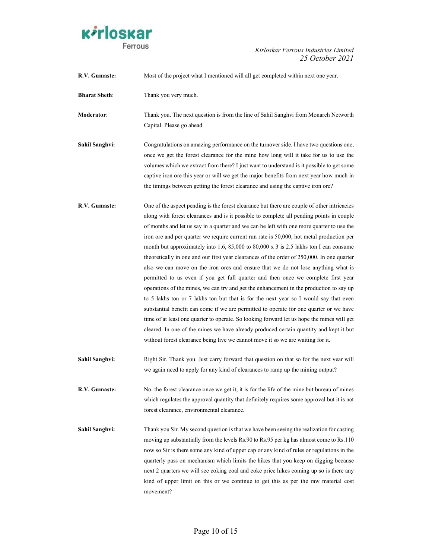

R.V. Gumaste: Most of the project what I mentioned will all get completed within next one year. Bharat Sheth: Thank you very much. Moderator: Thank you. The next question is from the line of Sahil Sanghvi from Monarch Networth Capital. Please go ahead. Sahil Sanghvi: Congratulations on amazing performance on the turnover side. I have two questions one, once we get the forest clearance for the mine how long will it take for us to use the volumes which we extract from there? I just want to understand is it possible to get some captive iron ore this year or will we get the major benefits from next year how much in the timings between getting the forest clearance and using the captive iron ore? R.V. Gumaste: One of the aspect pending is the forest clearance but there are couple of other intricacies along with forest clearances and is it possible to complete all pending points in couple of months and let us say in a quarter and we can be left with one more quarter to use the iron ore and per quarter we require current run rate is 50,000, hot metal production per month but approximately into 1.6, 85,000 to 80,000 x 3 is 2.5 lakhs ton I can consume theoretically in one and our first year clearances of the order of 250,000. In one quarter also we can move on the iron ores and ensure that we do not lose anything what is permitted to us even if you get full quarter and then once we complete first year operations of the mines, we can try and get the enhancement in the production to say up to 5 lakhs ton or 7 lakhs ton but that is for the next year so I would say that even substantial benefit can come if we are permitted to operate for one quarter or we have time of at least one quarter to operate. So looking forward let us hope the mines will get cleared. In one of the mines we have already produced certain quantity and kept it but without forest clearance being live we cannot move it so we are waiting for it. Sahil Sanghvi: Right Sir. Thank you. Just carry forward that question on that so for the next year will we again need to apply for any kind of clearances to ramp up the mining output? R.V. Gumaste: No. the forest clearance once we get it, it is for the life of the mine but bureau of mines which regulates the approval quantity that definitely requires some approval but it is not forest clearance, environmental clearance. Sahil Sanghvi: Thank you Sir. My second question is that we have been seeing the realization for casting moving up substantially from the levels Rs.90 to Rs.95 per kg has almost come to Rs.110 now so Sir is there some any kind of upper cap or any kind of rules or regulations in the quarterly pass on mechanism which limits the hikes that you keep on digging because next 2 quarters we will see coking coal and coke price hikes coming up so is there any kind of upper limit on this or we continue to get this as per the raw material cost movement?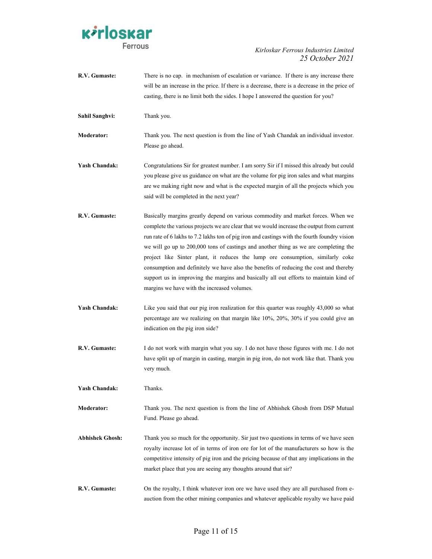

| R.V. Gumaste:          | There is no cap. in mechanism of escalation or variance. If there is any increase there<br>will be an increase in the price. If there is a decrease, there is a decrease in the price of<br>casting, there is no limit both the sides. I hope I answered the question for you?                                                                                                                                                                                                                                                                                                                                                                                                           |
|------------------------|------------------------------------------------------------------------------------------------------------------------------------------------------------------------------------------------------------------------------------------------------------------------------------------------------------------------------------------------------------------------------------------------------------------------------------------------------------------------------------------------------------------------------------------------------------------------------------------------------------------------------------------------------------------------------------------|
| <b>Sahil Sanghvi:</b>  | Thank you.                                                                                                                                                                                                                                                                                                                                                                                                                                                                                                                                                                                                                                                                               |
| <b>Moderator:</b>      | Thank you. The next question is from the line of Yash Chandak an individual investor.<br>Please go ahead.                                                                                                                                                                                                                                                                                                                                                                                                                                                                                                                                                                                |
| <b>Yash Chandak:</b>   | Congratulations Sir for greatest number. I am sorry Sir if I missed this already but could<br>you please give us guidance on what are the volume for pig iron sales and what margins<br>are we making right now and what is the expected margin of all the projects which you<br>said will be completed in the next year?                                                                                                                                                                                                                                                                                                                                                                |
| R.V. Gumaste:          | Basically margins greatly depend on various commodity and market forces. When we<br>complete the various projects we are clear that we would increase the output from current<br>run rate of 6 lakhs to 7.2 lakhs ton of pig iron and castings with the fourth foundry vision<br>we will go up to 200,000 tons of castings and another thing as we are completing the<br>project like Sinter plant, it reduces the lump ore consumption, similarly coke<br>consumption and definitely we have also the benefits of reducing the cost and thereby<br>support us in improving the margins and basically all out efforts to maintain kind of<br>margins we have with the increased volumes. |
| <b>Yash Chandak:</b>   | Like you said that our pig iron realization for this quarter was roughly 43,000 so what<br>percentage are we realizing on that margin like 10%, 20%, 30% if you could give an<br>indication on the pig iron side?                                                                                                                                                                                                                                                                                                                                                                                                                                                                        |
| R.V. Gumaste:          | I do not work with margin what you say. I do not have those figures with me. I do not<br>have split up of margin in casting, margin in pig iron, do not work like that. Thank you<br>very much.                                                                                                                                                                                                                                                                                                                                                                                                                                                                                          |
| Yash Chandak:          | Thanks.                                                                                                                                                                                                                                                                                                                                                                                                                                                                                                                                                                                                                                                                                  |
| <b>Moderator:</b>      | Thank you. The next question is from the line of Abhishek Ghosh from DSP Mutual<br>Fund. Please go ahead.                                                                                                                                                                                                                                                                                                                                                                                                                                                                                                                                                                                |
| <b>Abhishek Ghosh:</b> | Thank you so much for the opportunity. Sir just two questions in terms of we have seen<br>royalty increase lot of in terms of iron ore for lot of the manufacturers so how is the<br>competitive intensity of pig iron and the pricing because of that any implications in the<br>market place that you are seeing any thoughts around that sir?                                                                                                                                                                                                                                                                                                                                         |
| R.V. Gumaste:          | On the royalty, I think whatever iron ore we have used they are all purchased from e-<br>auction from the other mining companies and whatever applicable royalty we have paid                                                                                                                                                                                                                                                                                                                                                                                                                                                                                                            |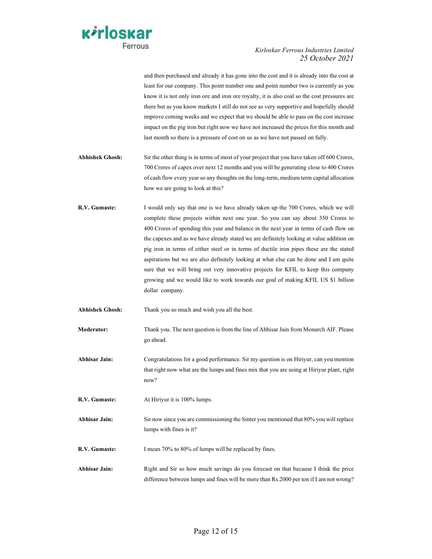

and then purchased and already it has gone into the cost and it is already into the cost at least for our company. This point number one and point number two is currently as you know it is not only iron ore and iron ore royalty, it is also coal so the cost pressures are there but as you know markets I still do not see as very supportive and hopefully should improve coming weeks and we expect that we should be able to pass on the cost increase impact on the pig iron but right now we have not increased the prices for this month and last month so there is a pressure of cost on us as we have not passed on fully.

- Abhishek Ghosh: Sir the other thing is in terms of most of your project that you have taken off 600 Crores, 700 Crores of capex over next 12 months and you will be generating close to 400 Crores of cash flow every year so any thoughts on the long-term, medium term capital allocation how we are going to look at this?
- R.V. Gumaste: I would only say that one is we have already taken up the 700 Crores, which we will complete these projects within next one year. So you can say about 350 Crores to 400 Crores of spending this year and balance in the next year in terms of cash flow on the capexes and as we have already stated we are definitely looking at value addition on pig iron in terms of either steel or in terms of ductile iron pipes these are the stated aspirations but we are also definitely looking at what else can be done and I am quite sure that we will bring out very innovative projects for KFIL to keep this company growing and we would like to work towards our goal of making KFIL US \$1 billion dollar company.

Abhishek Ghosh: Thank you so much and wish you all the best.

- Moderator: Thank you. The next question is from the line of Abhisar Jain from Monarch AIF. Please go ahead.
- Abhisar Jain: Congratulations for a good performance. Sir my question is on Hiriyur, can you mention that right now what are the lumps and fines mix that you are using at Hiriyur plant, right now?
- R.V. Gumaste: At Hiriyur it is 100% lumps.
- Abhisar Jain: Sir now since you are commissioning the Sinter you mentioned that 80% you will replace lumps with fines is it?
- R.V. Gumaste: I mean 70% to 80% of lumps will be replaced by fines.
- Abhisar Jain: Right and Sir so how much savings do you forecast on that because I think the price difference between lumps and fines will be more than Rs.2000 per ton if I am not wrong?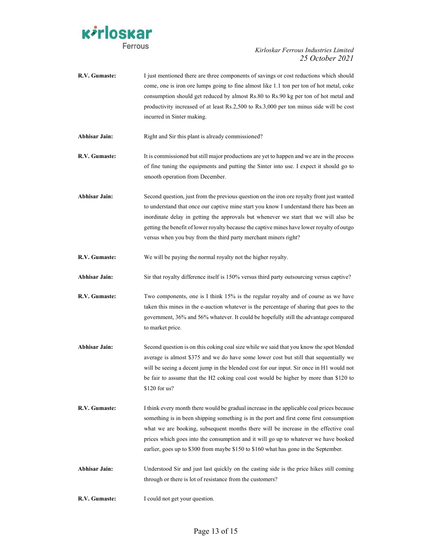

R.V. Gumaste: I just mentioned there are three components of savings or cost reductions which should come, one is iron ore lumps going to fine almost like 1.1 ton per ton of hot metal, coke consumption should get reduced by almost Rs.80 to Rs.90 kg per ton of hot metal and productivity increased of at least Rs.2,500 to Rs.3,000 per ton minus side will be cost incurred in Sinter making. Abhisar Jain: Right and Sir this plant is already commissioned? **R.V. Gumaste:** It is commissioned but still major productions are yet to happen and we are in the process of fine tuning the equipments and putting the Sinter into use. I expect it should go to smooth operation from December. Abhisar Jain: Second question, just from the previous question on the iron ore royalty front just wanted to understand that once our captive mine start you know I understand there has been an inordinate delay in getting the approvals but whenever we start that we will also be getting the benefit of lower royalty because the captive mines have lower royalty of outgo versus when you buy from the third party merchant miners right? R.V. Gumaste: We will be paying the normal royalty not the higher royalty. Abhisar Jain: Sir that royalty difference itself is 150% versus third party outsourcing versus captive? **R.V. Gumaste:** Two components, one is I think 15% is the regular royalty and of course as we have taken this mines in the e-auction whatever is the percentage of sharing that goes to the government, 36% and 56% whatever. It could be hopefully still the advantage compared to market price. Abhisar Jain: Second question is on this coking coal size while we said that you know the spot blended average is almost \$375 and we do have some lower cost but still that sequentially we will be seeing a decent jump in the blended cost for our input. Sir once in H1 would not be fair to assume that the H2 coking coal cost would be higher by more than \$120 to \$120 for us? R.V. Gumaste: I think every month there would be gradual increase in the applicable coal prices because something is in been shipping something is in the port and first come first consumption what we are booking, subsequent months there will be increase in the effective coal prices which goes into the consumption and it will go up to whatever we have booked earlier, goes up to \$300 from maybe \$150 to \$160 what has gone in the September. Abhisar Jain: Understood Sir and just last quickly on the casting side is the price hikes still coming through or there is lot of resistance from the customers? R.V. Gumaste: I could not get your question.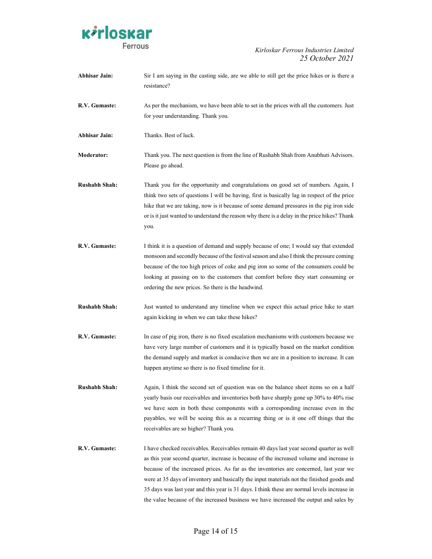

| <b>Abhisar Jain:</b> | Sir I am saying in the casting side, are we able to still get the price hikes or is there a<br>resistance?                                                                                                                                                                                                                                                                                                                                                                                                                                                         |
|----------------------|--------------------------------------------------------------------------------------------------------------------------------------------------------------------------------------------------------------------------------------------------------------------------------------------------------------------------------------------------------------------------------------------------------------------------------------------------------------------------------------------------------------------------------------------------------------------|
| R.V. Gumaste:        | As per the mechanism, we have been able to set in the prices with all the customers. Just<br>for your understanding. Thank you.                                                                                                                                                                                                                                                                                                                                                                                                                                    |
| <b>Abhisar Jain:</b> | Thanks. Best of luck.                                                                                                                                                                                                                                                                                                                                                                                                                                                                                                                                              |
| <b>Moderator:</b>    | Thank you. The next question is from the line of Rushabh Shah from Anubhuti Advisors.<br>Please go ahead.                                                                                                                                                                                                                                                                                                                                                                                                                                                          |
| <b>Rushabh Shah:</b> | Thank you for the opportunity and congratulations on good set of numbers. Again, I<br>think two sets of questions I will be having, first is basically lag in respect of the price<br>hike that we are taking, now is it because of some demand pressures in the pig iron side<br>or is it just wanted to understand the reason why there is a delay in the price hikes? Thank<br>you.                                                                                                                                                                             |
| R.V. Gumaste:        | I think it is a question of demand and supply because of one; I would say that extended<br>monsoon and secondly because of the festival season and also I think the pressure coming<br>because of the too high prices of coke and pig iron so some of the consumers could be<br>looking at passing on to the customers that comfort before they start consuming or<br>ordering the new prices. So there is the headwind.                                                                                                                                           |
| <b>Rushabh Shah:</b> | Just wanted to understand any timeline when we expect this actual price hike to start<br>again kicking in when we can take these hikes?                                                                                                                                                                                                                                                                                                                                                                                                                            |
| R.V. Gumaste:        | In case of pig iron, there is no fixed escalation mechanisms with customers because we<br>have very large number of customers and it is typically based on the market condition<br>the demand supply and market is conducive then we are in a position to increase. It can<br>happen anytime so there is no fixed timeline for it.                                                                                                                                                                                                                                 |
| <b>Rushabh Shah:</b> | Again, I think the second set of question was on the balance sheet items so on a half<br>yearly basis our receivables and inventories both have sharply gone up 30% to 40% rise<br>we have seen in both these components with a corresponding increase even in the<br>payables, we will be seeing this as a recurring thing or is it one off things that the<br>receivables are so higher? Thank you.                                                                                                                                                              |
| R.V. Gumaste:        | I have checked receivables. Receivables remain 40 days last year second quarter as well<br>as this year second quarter, increase is because of the increased volume and increase is<br>because of the increased prices. As far as the inventories are concerned, last year we<br>were at 35 days of inventory and basically the input materials not the finished goods and<br>35 days was last year and this year is 31 days. I think these are normal levels increase in<br>the value because of the increased business we have increased the output and sales by |